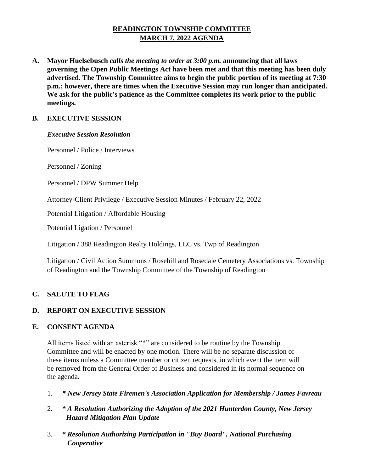# **READINGTON TOWNSHIP COMMITTEE MARCH 7, 2022 AGENDA**

**A. Mayor Huelsebusch** *calls the meeting to order at 3:00 p.m.* **announcing that all laws governing the Open Public Meetings Act have been met and that this meeting has been duly advertised. The Township Committee aims to begin the public portion of its meeting at 7:30 p.m.; however, there are times when the Executive Session may run longer than anticipated. We ask for the public's patience as the Committee completes its work prior to the public meetings.**

# **B. EXECUTIVE SESSION**

#### *Executive Session Resolution*

Personnel / Police / Interviews

Personnel / Zoning

Personnel / DPW Summer Help

Attorney-Client Privilege / Executive Session Minutes / February 22, 2022

Potential Litigation / Affordable Housing

Potential Ligation / Personnel

Litigation / 388 Readington Realty Holdings, LLC vs. Twp of Readington

Litigation / Civil Action Summons / Rosehill and Rosedale Cemetery Associations vs. Township of Readington and the Township Committee of the Township of Readington

## **C. SALUTE TO FLAG**

# **D. REPORT ON EXECUTIVE SESSION**

## **E. CONSENT AGENDA**

All items listed with an asterisk "\*" are considered to be routine by the Township Committee and will be enacted by one motion. There will be no separate discussion of these items unless a Committee member or citizen requests, in which event the item will be removed from the General Order of Business and considered in its normal sequence on the agenda.

- 1. *\* New Jersey State Firemen's Association Application for Membership / James Favreau*
- 2. *\* A Resolution Authorizing the Adoption of the 2021 Hunterdon County, New Jersey Hazard Mitigation Plan Update*
- 3. *\* Resolution Authorizing Participation in "Buy Board", National Purchasing Cooperative*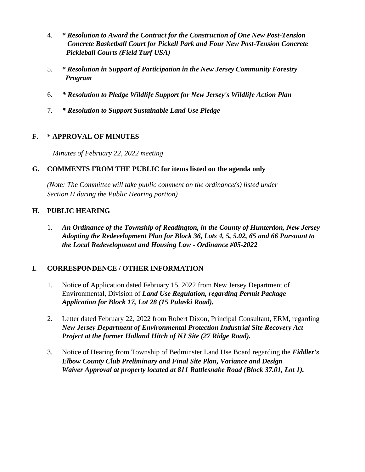- 4. *\* Resolution to Award the Contract for the Construction of One New Post-Tension Concrete Basketball Court for Pickell Park and Four New Post-Tension Concrete Pickleball Courts (Field Turf USA)*
- 5. *\* Resolution in Support of Participation in the New Jersey Community Forestry Program*
- 6. *\* Resolution to Pledge Wildlife Support for New Jersey's Wildlife Action Plan*
- 7. *\* Resolution to Support Sustainable Land Use Pledge*

# **F. \* APPROVAL OF MINUTES**

 *Minutes of February 22, 2022 meeting* 

## **G. COMMENTS FROM THE PUBLIC for items listed on the agenda only**

*(Note: The Committee will take public comment on the ordinance(s) listed under Section H during the Public Hearing portion)*

# **H. PUBLIC HEARING**

1. *An Ordinance of the Township of Readington, in the County of Hunterdon, New Jersey Adopting the Redevelopment Plan for Block 36, Lots 4, 5, 5.02, 65 and 66 Pursuant to the Local Redevelopment and Housing Law - Ordinance #05-2022*

# **I. CORRESPONDENCE / OTHER INFORMATION**

- 1. Notice of Application dated February 15, 2022 from New Jersey Department of Environmental, Division of *Land Use Regulation, regarding Permit Package Application for Block 17, Lot 28 (15 Pulaski Road).*
- 2. Letter dated February 22, 2022 from Robert Dixon, Principal Consultant, ERM, regarding *New Jersey Department of Environmental Protection Industrial Site Recovery Act Project at the former Holland Hitch of NJ Site (27 Ridge Road).*
- 3. Notice of Hearing from Township of Bedminster Land Use Board regarding the *Fiddler's Elbow County Club Preliminary and Final Site Plan, Variance and Design Waiver Approval at property located at 811 Rattlesnake Road (Block 37.01, Lot 1).*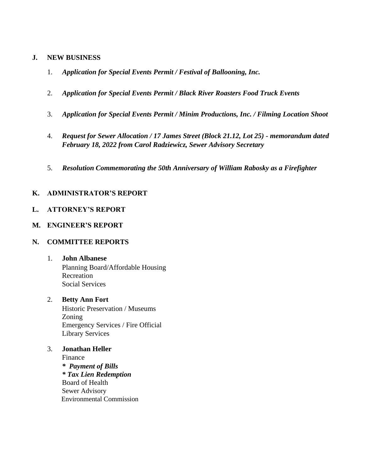#### **J. NEW BUSINESS**

- 1. *Application for Special Events Permit / Festival of Ballooning, Inc.*
- 2. *Application for Special Events Permit / Black River Roasters Food Truck Events*
- 3. *Application for Special Events Permit / Minim Productions, Inc. / Filming Location Shoot*
- 4. *Request for Sewer Allocation / 17 James Street (Block 21.12, Lot 25) - memorandum dated February 18, 2022 from Carol Radziewicz, Sewer Advisory Secretary*
- 5. *Resolution Commemorating the 50th Anniversary of William Rabosky as a Firefighter*

# **K. ADMINISTRATOR'S REPORT**

#### **L. ATTORNEY'S REPORT**

#### **M. ENGINEER'S REPORT**

#### **N. COMMITTEE REPORTS**

# 1. **John Albanese**

Planning Board/Affordable Housing Recreation Social Services

#### 2. **Betty Ann Fort**

Historic Preservation / Museums Zoning Emergency Services / Fire Official Library Services

3. **Jonathan Heller**  Finance

*\* Payment of Bills \* Tax Lien Redemption*  Board of Health Sewer Advisory Environmental Commission